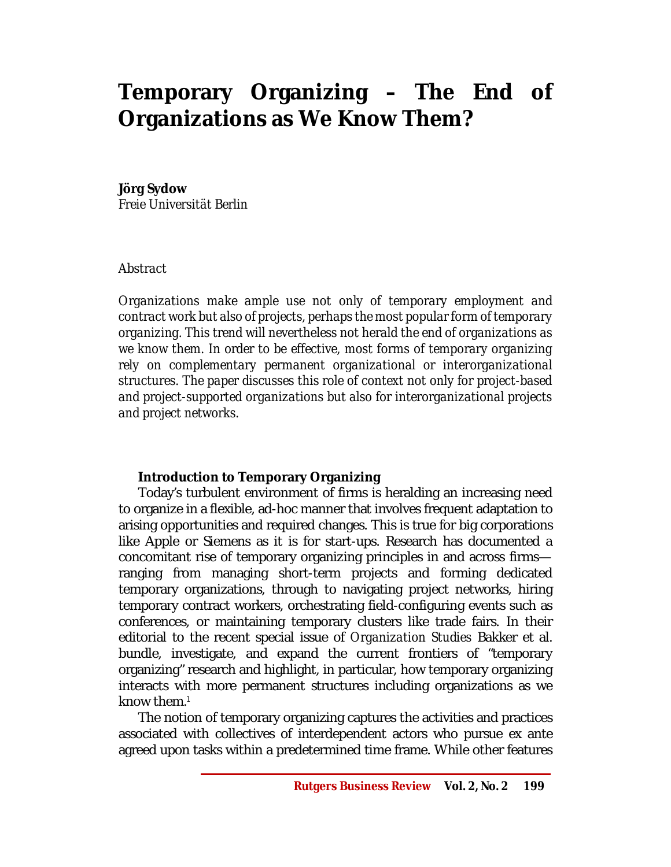# **Temporary Organizing – The End of Organizations as We Know Them?**

### **Jörg Sydow**

*Freie Universität Berlin*

## *Abstract*

*Organizations make ample use not only of temporary employment and contract work but also of projects, perhaps the most popular form of temporary organizing. This trend will nevertheless not herald the end of organizations as we know them. In order to be effective, most forms of temporary organizing rely on complementary permanent organizational or interorganizational structures. The paper discusses this role of context not only for project-based and project-supported organizations but also for interorganizational projects and project networks.* 

## **Introduction to Temporary Organizing**

Today's turbulent environment of firms is heralding an increasing need to organize in a flexible, ad-hoc manner that involves frequent adaptation to arising opportunities and required changes. This is true for big corporations like Apple or Siemens as it is for start-ups. Research has documented a concomitant rise of temporary organizing principles in and across firms ranging from managing short-term projects and forming dedicated temporary organizations, through to navigating project networks, hiring temporary contract workers, orchestrating field-configuring events such as conferences, or maintaining temporary clusters like trade fairs. In their editorial to the recent special issue of *Organization Studies* Bakker et al. bundle, investigate, and expand the current frontiers of "temporary organizing" research and highlight, in particular, how temporary organizing interacts with more permanent structures including organizations as we know them. $1$ 

The notion of temporary organizing captures the activities and practices associated with collectives of interdependent actors who pursue ex ante agreed upon tasks within a predetermined time frame. While other features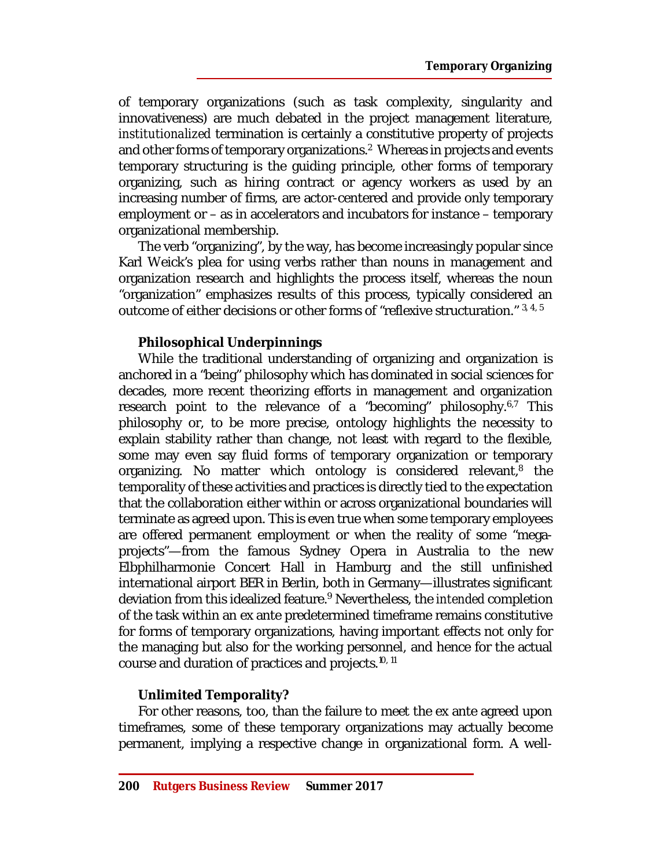of temporary organizations (such as task complexity, singularity and innovativeness) are much debated in the project management literature, *institutionalized* termination is certainly a constitutive property of projects and other forms of temporary organizations.<sup>2</sup> Whereas in projects and events temporary structuring is the guiding principle, other forms of temporary organizing, such as hiring contract or agency workers as used by an increasing number of firms, are actor-centered and provide only temporary employment or – as in accelerators and incubators for instance – temporary organizational membership.

The verb "organizing", by the way, has become increasingly popular since Karl Weick's plea for using verbs rather than nouns in management and organization research and highlights the process itself, whereas the noun "organization" emphasizes results of this process, typically considered an outcome of either decisions or other forms of "reflexive structuration."  $3,4,5$ 

## **Philosophical Underpinnings**

While the traditional understanding of organizing and organization is anchored in a "being" philosophy which has dominated in social sciences for decades, more recent theorizing efforts in management and organization research point to the relevance of a "becoming" philosophy.<sup>6,7</sup> This philosophy or, to be more precise, ontology highlights the necessity to explain stability rather than change, not least with regard to the flexible, some may even say fluid forms of temporary organization or temporary organizing. No matter which ontology is considered relevant,<sup>8</sup> the temporality of these activities and practices is directly tied to the expectation that the collaboration either within or across organizational boundaries will terminate as agreed upon. This is even true when some temporary employees are offered permanent employment or when the reality of some "megaprojects"—from the famous Sydney Opera in Australia to the new Elbphilharmonie Concert Hall in Hamburg and the still unfinished international airport BER in Berlin, both in Germany—illustrates significant deviation from this idealized feature.<sup>9</sup> Nevertheless, the *intended* completion of the task within an ex ante predetermined timeframe remains constitutive for forms of temporary organizations, having important effects not only for the managing but also for the working personnel, and hence for the actual course and duration of practices and projects. 10, 11

## **Unlimited Temporality?**

For other reasons, too, than the failure to meet the ex ante agreed upon timeframes, some of these temporary organizations may actually become permanent, implying a respective change in organizational form. A well-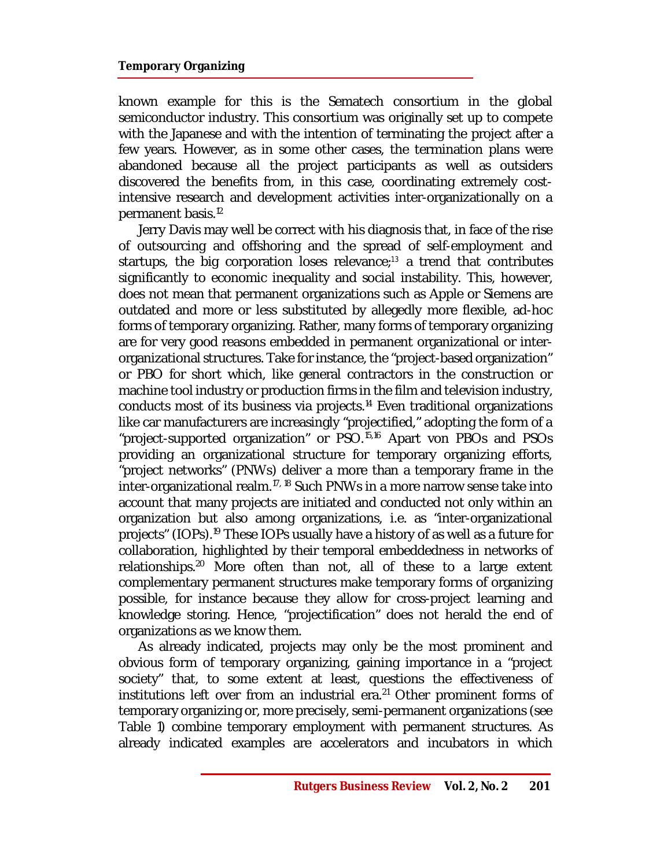#### **Temporary Organizing**

known example for this is the Sematech consortium in the global semiconductor industry. This consortium was originally set up to compete with the Japanese and with the intention of terminating the project after a few years. However, as in some other cases, the termination plans were abandoned because all the project participants as well as outsiders discovered the benefits from, in this case, coordinating extremely costintensive research and development activities inter-organizationally on a permanent basis. 12

Jerry Davis may well be correct with his diagnosis that, in face of the rise of outsourcing and offshoring and the spread of self-employment and startups, the big corporation loses relevance; $13$  a trend that contributes significantly to economic inequality and social instability. This, however, does not mean that permanent organizations such as Apple or Siemens are outdated and more or less substituted by allegedly more flexible, ad-hoc forms of temporary organizing. Rather, many forms of temporary organizing are for very good reasons embedded in permanent organizational or interorganizational structures. Take for instance, the "project-based organization" or PBO for short which, like general contractors in the construction or machine tool industry or production firms in the film and television industry, conducts most of its business via projects.<sup>14</sup> Even traditional organizations like car manufacturers are increasingly "projectified," adopting the form of a "project-supported organization" or PSO.15,16 Apart von PBOs and PSOs providing an organizational structure for temporary organizing efforts, "project networks" (PNWs) deliver a more than a temporary frame in the inter-organizational realm.<sup>17, 18</sup> Such PNWs in a more narrow sense take into account that many projects are initiated and conducted not only within an organization but also among organizations, i.e. as "inter-organizational projects" (IOPs).<sup>19</sup> These IOPs usually have a history of as well as a future for collaboration, highlighted by their temporal embeddedness in networks of relationships. <sup>20</sup> More often than not, all of these to a large extent complementary permanent structures make temporary forms of organizing possible, for instance because they allow for cross-project learning and knowledge storing. Hence, "projectification" does not herald the end of organizations as we know them.

As already indicated, projects may only be the most prominent and obvious form of temporary organizing, gaining importance in a "project society" that, to some extent at least, questions the effectiveness of institutions left over from an industrial era. $21$  Other prominent forms of temporary organizing or, more precisely, semi-permanent organizations (see Table 1) combine temporary employment with permanent structures. As already indicated examples are accelerators and incubators in which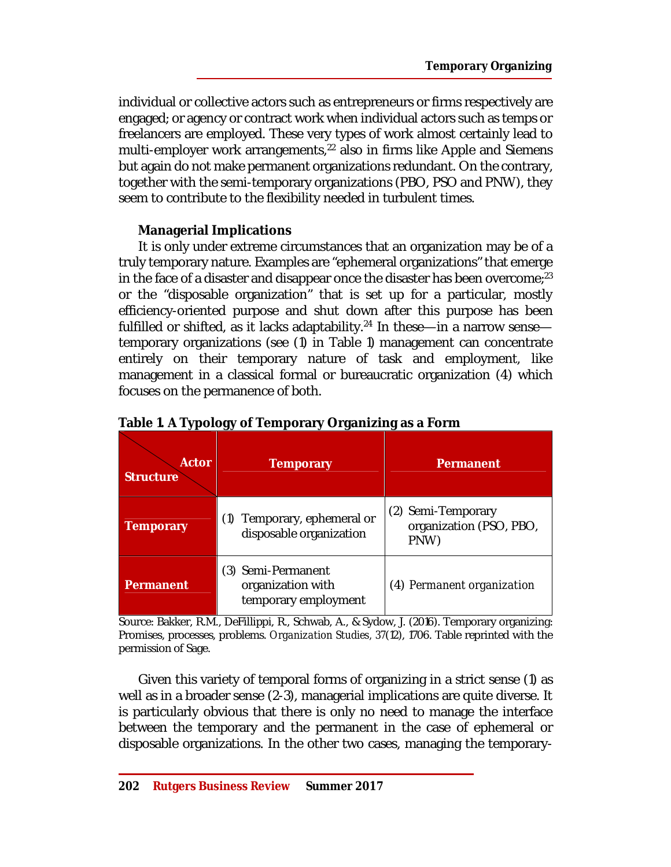individual or collective actors such as entrepreneurs or firms respectively are engaged; or agency or contract work when individual actors such as temps or freelancers are employed. These very types of work almost certainly lead to multi-employer work arrangements,<sup>22</sup> also in firms like Apple and Siemens but again do not make permanent organizations redundant. On the contrary, together with the semi-temporary organizations (PBO, PSO and PNW), they seem to contribute to the flexibility needed in turbulent times.

# **Managerial Implications**

It is only under extreme circumstances that an organization may be of a truly temporary nature. Examples are "ephemeral organizations" that emerge in the face of a disaster and disappear once the disaster has been overcome; $^{23}$ or the "disposable organization" that is set up for a particular, mostly efficiency-oriented purpose and shut down after this purpose has been fulfilled or shifted, as it lacks adaptability.<sup>24</sup> In these—in a narrow sense temporary organizations (see (1) in Table 1) management can concentrate entirely on their temporary nature of task and employment, like management in a classical formal or bureaucratic organization (4) which focuses on the permanence of both.

| <b>Actor</b><br><b>Structure</b> | <b>Temporary</b>                                                | Permanent                                             |
|----------------------------------|-----------------------------------------------------------------|-------------------------------------------------------|
| <b>Temporary</b>                 | Temporary, ephemeral or<br>disposable organization              | (2) Semi-Temporary<br>organization (PSO, PBO,<br>PNW) |
| <b>Permanent</b>                 | (3) Semi-Permanent<br>organization with<br>temporary employment | (4) Permanent organization                            |

# **Table 1. A Typology of Temporary Organizing as a Form**

Source: Bakker, R.M., DeFillippi, R., Schwab, A., & Sydow, J. (2016). Temporary organizing: Promises, processes, problems. *Organization Studies, 37*(12), 1706. Table reprinted with the permission of Sage.

Given this variety of temporal forms of organizing in a strict sense (1) as well as in a broader sense (2-3), managerial implications are quite diverse. It is particularly obvious that there is only no need to manage the interface between the temporary and the permanent in the case of ephemeral or disposable organizations. In the other two cases, managing the temporary-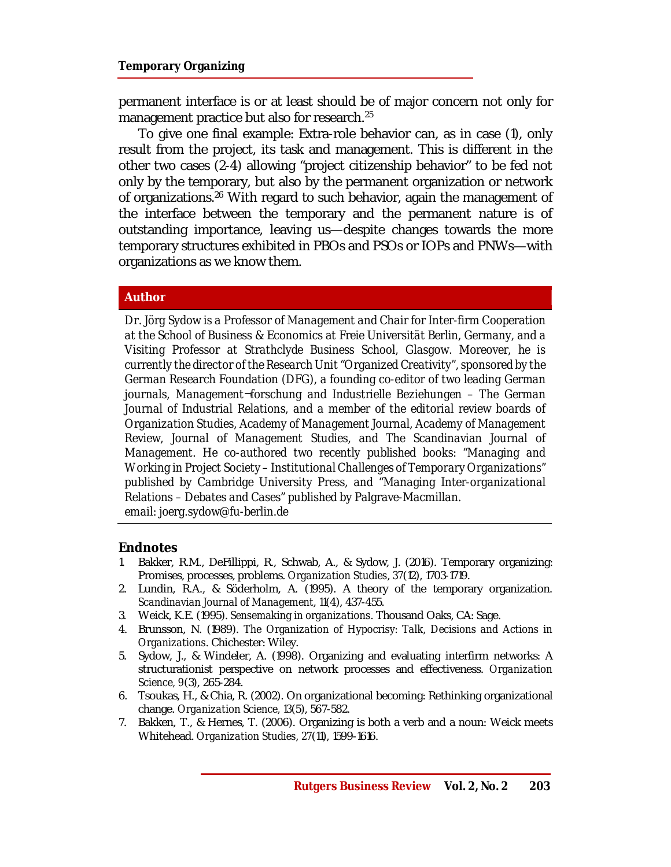#### **Temporary Organizing**

permanent interface is or at least should be of major concern not only for management practice but also for research.<sup>25</sup>

To give one final example: Extra-role behavior can, as in case (1), only result from the project, its task and management. This is different in the other two cases (2-4) allowing "project citizenship behavior" to be fed not only by the temporary, but also by the permanent organization or network of organizations.<sup>26</sup> With regard to such behavior, again the management of the interface between the temporary and the permanent nature is of outstanding importance, leaving us—despite changes towards the more temporary structures exhibited in PBOs and PSOs or IOPs and PNWs—with organizations as we know them.

#### **Author**

*Dr. Jörg Sydow is a Professor of Management and Chair for Inter-firm Cooperation at the School of Business & Economics at Freie Universität Berlin, Germany, and a Visiting Professor at Strathclyde Business School, Glasgow. Moreover, he is currently the director of the Research Unit "Organized Creativity", sponsored by the German Research Foundation (DFG), a founding co-editor of two leading German journals, Management¬forschung and Industrielle Beziehungen – The German Journal of Industrial Relations, and a member of the editorial review boards of Organization Studies, Academy of Management Journal, Academy of Management Review, Journal of Management Studies, and The Scandinavian Journal of Management. He co-authored two recently published books: "Managing and Working in Project Society – Institutional Challenges of Temporary Organizations" published by Cambridge University Press, and "Managing Inter-organizational Relations – Debates and Cases" published by Palgrave-Macmillan. email: [joerg.sydow@fu-berlin.de](mailto:joerg.sydow@fu-berlin.de)*

#### **Endnotes**

- 1. Bakker, R.M., DeFillippi, R., Schwab, A., & Sydow, J. (2016). Temporary organizing: Promises, processes, problems. *Organization Studies*, *37*(12), 1703-1719.
- 2. Lundin, R.A., & Söderholm, A. (1995). A theory of the temporary organization. *Scandinavian Journal of Management*, *11*(4), 437-455.
- 3. Weick, K.E. (1995). *Sensemaking in organizations*. Thousand Oaks, CA: Sage.
- 4. Brunsson, N. (1989). *The Organization of Hypocrisy: Talk, Decisions and Actions in Organizations*. Chichester: Wiley.
- 5. Sydow, J., & Windeler, A. (1998). Organizing and evaluating interfirm networks: A structurationist perspective on network processes and effectiveness. *Organization Science, 9*(3), 265-284.
- 6. Tsoukas, H., & Chia, R. (2002). On organizational becoming: Rethinking organizational change. *Organization Science, 13*(5), 567-582.
- 7. Bakken, T., & Hernes, T. (2006). Organizing is both a verb and a noun: Weick meets Whitehead. *Organization Studies, 27*(11), 1599-1616.